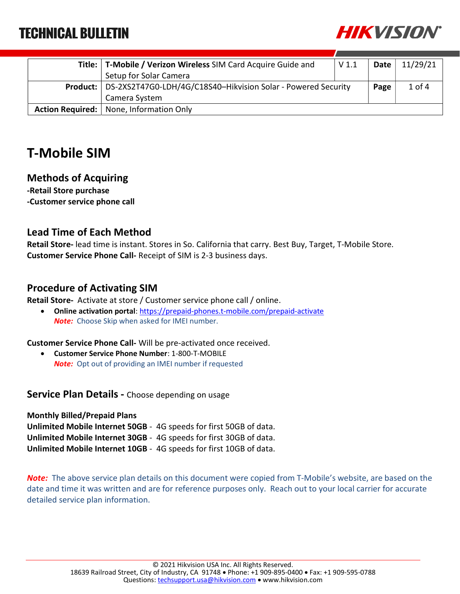

| Title:   T-Mobile / Verizon Wireless SIM Card Acquire Guide and          | V 1.1 | Date | 11/29/21   |
|--------------------------------------------------------------------------|-------|------|------------|
| Setup for Solar Camera                                                   |       |      |            |
| Product:   DS-2XS2T47G0-LDH/4G/C18S40-Hikvision Solar - Powered Security |       | Page | $1$ of $4$ |
| Camera System                                                            |       |      |            |
| Action Required:   None, Information Only                                |       |      |            |

### T-Mobile SIM

#### Methods of Acquiring

-Retail Store purchase -Customer service phone call

#### Lead Time of Each Method

Retail Store- lead time is instant. Stores in So. California that carry. Best Buy, Target, T-Mobile Store. Customer Service Phone Call- Receipt of SIM is 2-3 business days.

#### Procedure of Activating SIM

Retail Store- Activate at store / Customer service phone call / online.

 Online activation portal: https://prepaid-phones.t-mobile.com/prepaid-activate **Note:** Choose Skip when asked for IMEI number.

Customer Service Phone Call- Will be pre-activated once received.

 Customer Service Phone Number: 1-800-T-MOBILE **Note:** Opt out of providing an IMEI number if requested

**Service Plan Details -** Choose depending on usage

Monthly Billed/Prepaid Plans Unlimited Mobile Internet 50GB - 4G speeds for first 50GB of data. Unlimited Mobile Internet 30GB - 4G speeds for first 30GB of data. Unlimited Mobile Internet 10GB - 4G speeds for first 10GB of data.

Note: The above service plan details on this document were copied from T-Mobile's website, are based on the date and time it was written and are for reference purposes only. Reach out to your local carrier for accurate detailed service plan information.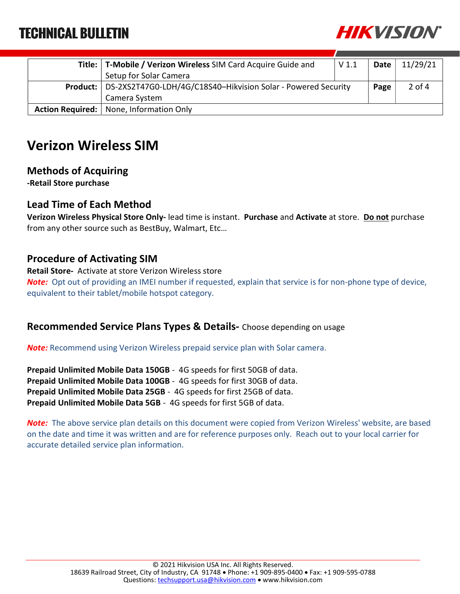

| Title:   T-Mobile / Verizon Wireless SIM Card Acquire Guide and          | V <sub>1.1</sub> | Date $ $ | 11/29/21 |
|--------------------------------------------------------------------------|------------------|----------|----------|
| Setup for Solar Camera                                                   |                  |          |          |
| Product:   DS-2XS2T47G0-LDH/4G/C18S40-Hikvision Solar - Powered Security |                  | Page     | $2$ of 4 |
| Camera System                                                            |                  |          |          |
| Action Required:   None, Information Only                                |                  |          |          |

### Verizon Wireless SIM

#### Methods of Acquiring

-Retail Store purchase

#### Lead Time of Each Method

Verizon Wireless Physical Store Only- lead time is instant. Purchase and Activate at store. Do not purchase from any other source such as BestBuy, Walmart, Etc…

#### Procedure of Activating SIM

Retail Store- Activate at store Verizon Wireless store Note: Opt out of providing an IMEI number if requested, explain that service is for non-phone type of device, equivalent to their tablet/mobile hotspot category.

#### Recommended Service Plans Types & Details- Choose depending on usage

**Note:** Recommend using Verizon Wireless prepaid service plan with Solar camera.

Prepaid Unlimited Mobile Data 150GB - 4G speeds for first 50GB of data. Prepaid Unlimited Mobile Data 100GB - 4G speeds for first 30GB of data. Prepaid Unlimited Mobile Data 25GB - 4G speeds for first 25GB of data. Prepaid Unlimited Mobile Data 5GB - 4G speeds for first 5GB of data.

Note: The above service plan details on this document were copied from Verizon Wireless' website, are based on the date and time it was written and are for reference purposes only. Reach out to your local carrier for accurate detailed service plan information.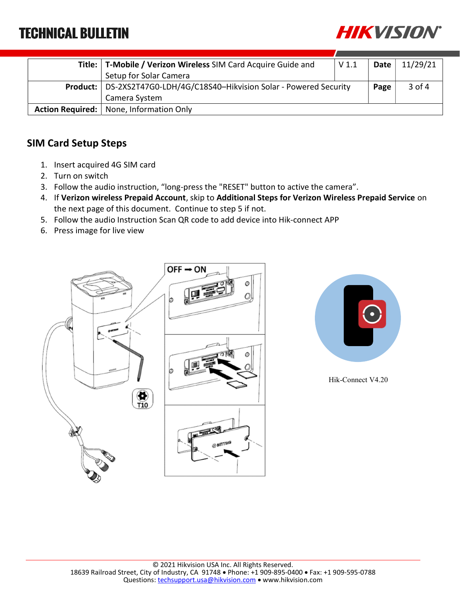

| Title:   T-Mobile / Verizon Wireless SIM Card Acquire Guide and          | V <sub>1.1</sub> | Date | 11/29/21 |
|--------------------------------------------------------------------------|------------------|------|----------|
| Setup for Solar Camera                                                   |                  |      |          |
| Product:   DS-2XS2T47G0-LDH/4G/C18S40-Hikvision Solar - Powered Security |                  | Page | 3 of 4   |
| Camera System                                                            |                  |      |          |
| Action Required:   None, Information Only                                |                  |      |          |

### SIM Card Setup Steps

- 1. Insert acquired 4G SIM card
- 2. Turn on switch
- 3. Follow the audio instruction, "long-press the "RESET" button to active the camera".
- 4. If Verizon wireless Prepaid Account, skip to Additional Steps for Verizon Wireless Prepaid Service on the next page of this document. Continue to step 5 if not.
- 5. Follow the audio Instruction Scan QR code to add device into Hik-connect APP
- 6. Press image for live view





Hik-Connect V4.20